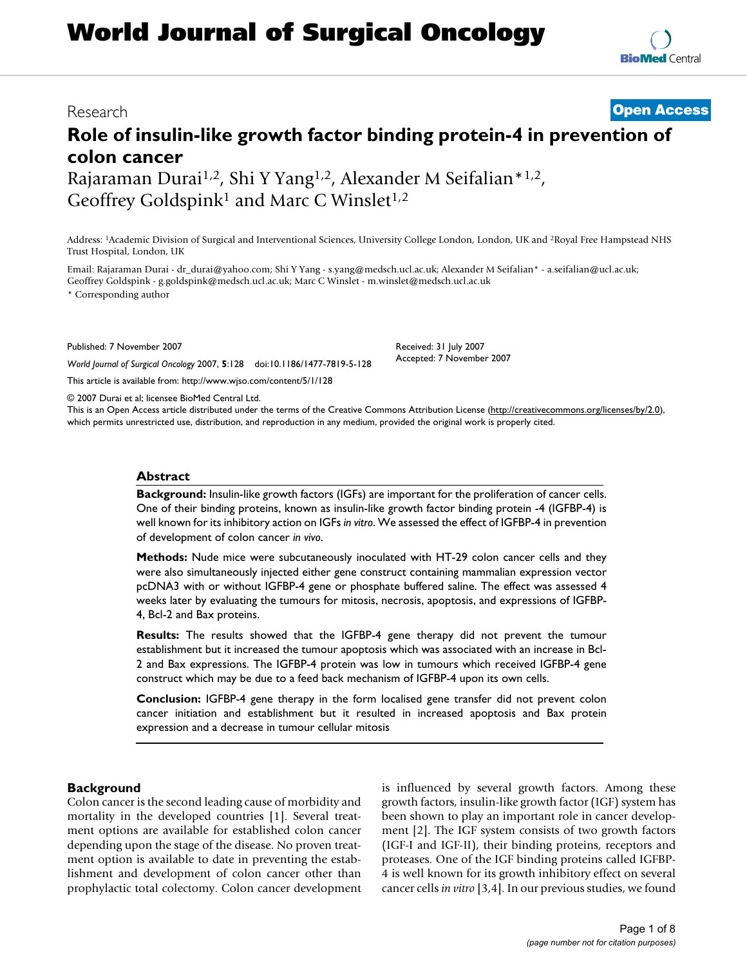# **World Journal of Surgical Oncology**

## Research **[Open Access](http://www.biomedcentral.com/info/about/charter/)**

# **Role of insulin-like growth factor binding protein-4 in prevention of colon cancer** Rajaraman Durai<sup>1,2</sup>, Shi Y Yang<sup>1,2</sup>, Alexander M Seifalian\*<sup>1,2</sup>,

Geoffrey Goldspink<sup>1</sup> and Marc C Winslet<sup>1,2</sup>

Address: 1Academic Division of Surgical and Interventional Sciences, University College London, London, UK and 2Royal Free Hampstead NHS Trust Hospital, London, UK

Email: Rajaraman Durai - dr\_durai@yahoo.com; Shi Y Yang - s.yang@medsch.ucl.ac.uk; Alexander M Seifalian\* - a.seifalian@ucl.ac.uk; Geoffrey Goldspink - g.goldspink@medsch.ucl.ac.uk; Marc C Winslet - m.winslet@medsch.ucl.ac.uk

\* Corresponding author

Published: 7 November 2007

*World Journal of Surgical Oncology* 2007, **5**:128 doi:10.1186/1477-7819-5-128

[This article is available from: http://www.wjso.com/content/5/1/128](http://www.wjso.com/content/5/1/128)

© 2007 Durai et al; licensee BioMed Central Ltd.

This is an Open Access article distributed under the terms of the Creative Commons Attribution License [\(http://creativecommons.org/licenses/by/2.0\)](http://creativecommons.org/licenses/by/2.0), which permits unrestricted use, distribution, and reproduction in any medium, provided the original work is properly cited.

#### **Abstract**

**Background:** Insulin-like growth factors (IGFs) are important for the proliferation of cancer cells. One of their binding proteins, known as insulin-like growth factor binding protein -4 (IGFBP-4) is well known for its inhibitory action on IGFs *in vitro*. We assessed the effect of IGFBP-4 in prevention of development of colon cancer *in vivo*.

**Methods:** Nude mice were subcutaneously inoculated with HT-29 colon cancer cells and they were also simultaneously injected either gene construct containing mammalian expression vector pcDNA3 with or without IGFBP-4 gene or phosphate buffered saline. The effect was assessed 4 weeks later by evaluating the tumours for mitosis, necrosis, apoptosis, and expressions of IGFBP-4, Bcl-2 and Bax proteins.

**Results:** The results showed that the IGFBP-4 gene therapy did not prevent the tumour establishment but it increased the tumour apoptosis which was associated with an increase in Bcl-2 and Bax expressions. The IGFBP-4 protein was low in tumours which received IGFBP-4 gene construct which may be due to a feed back mechanism of IGFBP-4 upon its own cells.

**Conclusion:** IGFBP-4 gene therapy in the form localised gene transfer did not prevent colon cancer initiation and establishment but it resulted in increased apoptosis and Bax protein expression and a decrease in tumour cellular mitosis

#### **Background**

Colon cancer is the second leading cause of morbidity and mortality in the developed countries [1]. Several treatment options are available for established colon cancer depending upon the stage of the disease. No proven treatment option is available to date in preventing the establishment and development of colon cancer other than prophylactic total colectomy. Colon cancer development is influenced by several growth factors. Among these growth factors, insulin-like growth factor (IGF) system has been shown to play an important role in cancer development [2]. The IGF system consists of two growth factors (IGF-I and IGF-II), their binding proteins, receptors and proteases. One of the IGF binding proteins called IGFBP-4 is well known for its growth inhibitory effect on several cancer cells *in vitro* [3,4]. In our previous studies, we found

Received: 31 July 2007 Accepted: 7 November 2007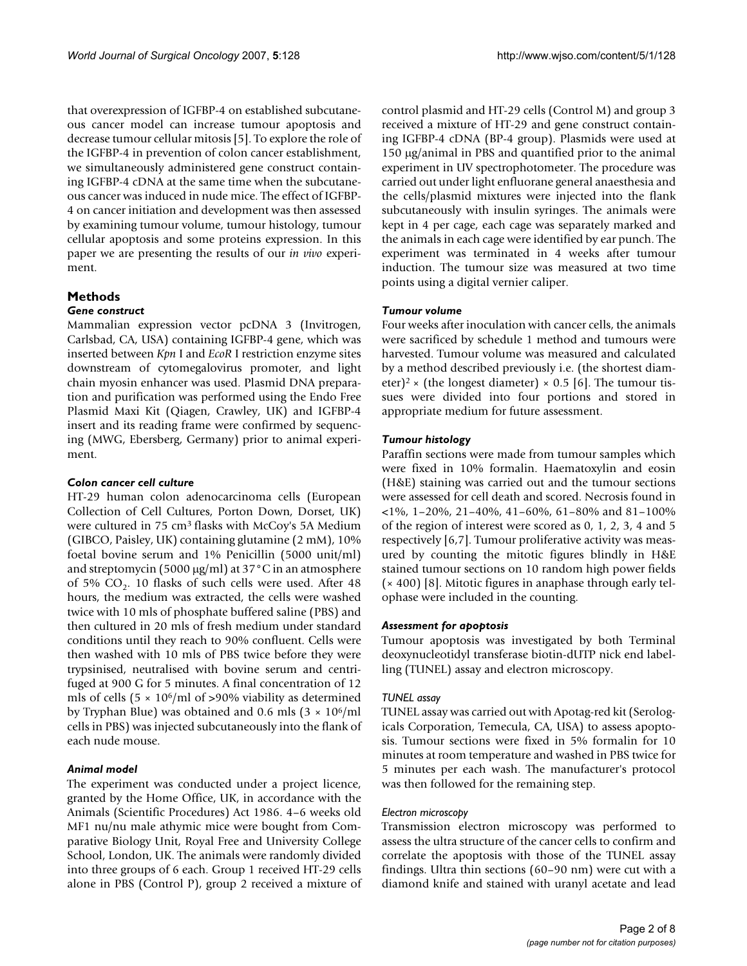that overexpression of IGFBP-4 on established subcutaneous cancer model can increase tumour apoptosis and decrease tumour cellular mitosis [5]. To explore the role of the IGFBP-4 in prevention of colon cancer establishment, we simultaneously administered gene construct containing IGFBP-4 cDNA at the same time when the subcutaneous cancer was induced in nude mice. The effect of IGFBP-4 on cancer initiation and development was then assessed by examining tumour volume, tumour histology, tumour cellular apoptosis and some proteins expression. In this paper we are presenting the results of our *in vivo* experiment.

### **Methods**

#### *Gene construct*

Mammalian expression vector pcDNA 3 (Invitrogen, Carlsbad, CA, USA) containing IGFBP-4 gene, which was inserted between *Kpn* I and *EcoR* I restriction enzyme sites downstream of cytomegalovirus promoter, and light chain myosin enhancer was used. Plasmid DNA preparation and purification was performed using the Endo Free Plasmid Maxi Kit (Qiagen, Crawley, UK) and IGFBP-4 insert and its reading frame were confirmed by sequencing (MWG, Ebersberg, Germany) prior to animal experiment.

#### *Colon cancer cell culture*

HT-29 human colon adenocarcinoma cells (European Collection of Cell Cultures, Porton Down, Dorset, UK) were cultured in 75 cm3 flasks with McCoy's 5A Medium (GIBCO, Paisley, UK) containing glutamine (2 mM), 10% foetal bovine serum and 1% Penicillin (5000 unit/ml) and streptomycin (5000 μg/ml) at 37°C in an atmosphere of 5%  $CO<sub>2</sub>$ . 10 flasks of such cells were used. After 48 hours, the medium was extracted, the cells were washed twice with 10 mls of phosphate buffered saline (PBS) and then cultured in 20 mls of fresh medium under standard conditions until they reach to 90% confluent. Cells were then washed with 10 mls of PBS twice before they were trypsinised, neutralised with bovine serum and centrifuged at 900 G for 5 minutes. A final concentration of 12 mls of cells  $(5 \times 10^6/\text{ml of} > 90\%$  viability as determined by Tryphan Blue) was obtained and 0.6 mls  $(3 \times 10^6/\text{ml})$ cells in PBS) was injected subcutaneously into the flank of each nude mouse.

#### *Animal model*

The experiment was conducted under a project licence, granted by the Home Office, UK, in accordance with the Animals (Scientific Procedures) Act 1986. 4–6 weeks old MF1 nu/nu male athymic mice were bought from Comparative Biology Unit, Royal Free and University College School, London, UK. The animals were randomly divided into three groups of 6 each. Group 1 received HT-29 cells alone in PBS (Control P), group 2 received a mixture of control plasmid and HT-29 cells (Control M) and group 3 received a mixture of HT-29 and gene construct containing IGFBP-4 cDNA (BP-4 group). Plasmids were used at 150 μg/animal in PBS and quantified prior to the animal experiment in UV spectrophotometer. The procedure was carried out under light enfluorane general anaesthesia and the cells/plasmid mixtures were injected into the flank subcutaneously with insulin syringes. The animals were kept in 4 per cage, each cage was separately marked and the animals in each cage were identified by ear punch. The experiment was terminated in 4 weeks after tumour induction. The tumour size was measured at two time points using a digital vernier caliper.

#### *Tumour volume*

Four weeks after inoculation with cancer cells, the animals were sacrificed by schedule 1 method and tumours were harvested. Tumour volume was measured and calculated by a method described previously i.e. (the shortest diameter)<sup>2</sup> × (the longest diameter) × 0.5 [6]. The tumour tissues were divided into four portions and stored in appropriate medium for future assessment.

#### *Tumour histology*

Paraffin sections were made from tumour samples which were fixed in 10% formalin. Haematoxylin and eosin (H&E) staining was carried out and the tumour sections were assessed for cell death and scored. Necrosis found in <1%, 1–20%, 21–40%, 41–60%, 61–80% and 81–100% of the region of interest were scored as 0, 1, 2, 3, 4 and 5 respectively [6,7]. Tumour proliferative activity was measured by counting the mitotic figures blindly in H&E stained tumour sections on 10 random high power fields (× 400) [8]. Mitotic figures in anaphase through early telophase were included in the counting.

#### *Assessment for apoptosis*

Tumour apoptosis was investigated by both Terminal deoxynucleotidyl transferase biotin-dUTP nick end labelling (TUNEL) assay and electron microscopy.

#### *TUNEL assay*

TUNEL assay was carried out with Apotag-red kit (Serologicals Corporation, Temecula, CA, USA) to assess apoptosis. Tumour sections were fixed in 5% formalin for 10 minutes at room temperature and washed in PBS twice for 5 minutes per each wash. The manufacturer's protocol was then followed for the remaining step.

#### *Electron microscopy*

Transmission electron microscopy was performed to assess the ultra structure of the cancer cells to confirm and correlate the apoptosis with those of the TUNEL assay findings. Ultra thin sections (60–90 nm) were cut with a diamond knife and stained with uranyl acetate and lead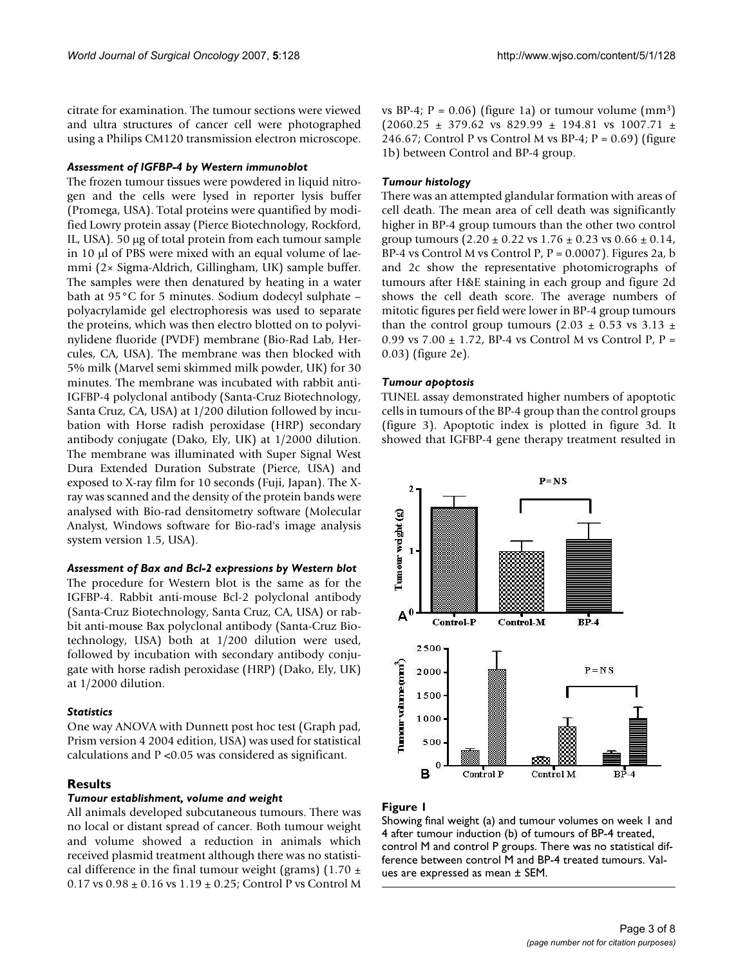citrate for examination. The tumour sections were viewed and ultra structures of cancer cell were photographed using a Philips CM120 transmission electron microscope.

#### *Assessment of IGFBP-4 by Western immunoblot*

The frozen tumour tissues were powdered in liquid nitrogen and the cells were lysed in reporter lysis buffer (Promega, USA). Total proteins were quantified by modified Lowry protein assay (Pierce Biotechnology, Rockford, IL, USA). 50 μg of total protein from each tumour sample in 10 μl of PBS were mixed with an equal volume of laemmi (2× Sigma-Aldrich, Gillingham, UK) sample buffer. The samples were then denatured by heating in a water bath at 95°C for 5 minutes. Sodium dodecyl sulphate – polyacrylamide gel electrophoresis was used to separate the proteins, which was then electro blotted on to polyvinylidene fluoride (PVDF) membrane (Bio-Rad Lab, Hercules, CA, USA). The membrane was then blocked with 5% milk (Marvel semi skimmed milk powder, UK) for 30 minutes. The membrane was incubated with rabbit anti-IGFBP-4 polyclonal antibody (Santa-Cruz Biotechnology, Santa Cruz, CA, USA) at 1/200 dilution followed by incubation with Horse radish peroxidase (HRP) secondary antibody conjugate (Dako, Ely, UK) at 1/2000 dilution. The membrane was illuminated with Super Signal West Dura Extended Duration Substrate (Pierce, USA) and exposed to X-ray film for 10 seconds (Fuji, Japan). The Xray was scanned and the density of the protein bands were analysed with Bio-rad densitometry software (Molecular Analyst, Windows software for Bio-rad's image analysis system version 1.5, USA).

#### *Assessment of Bax and Bcl-2 expressions by Western blot*

The procedure for Western blot is the same as for the IGFBP-4. Rabbit anti-mouse Bcl-2 polyclonal antibody (Santa-Cruz Biotechnology, Santa Cruz, CA, USA) or rabbit anti-mouse Bax polyclonal antibody (Santa-Cruz Biotechnology, USA) both at 1/200 dilution were used, followed by incubation with secondary antibody conjugate with horse radish peroxidase (HRP) (Dako, Ely, UK) at 1/2000 dilution.

#### *Statistics*

One way ANOVA with Dunnett post hoc test (Graph pad, Prism version 4 2004 edition, USA) was used for statistical calculations and P <0.05 was considered as significant.

#### **Results**

#### *Tumour establishment, volume and weight*

All animals developed subcutaneous tumours. There was no local or distant spread of cancer. Both tumour weight and volume showed a reduction in animals which received plasmid treatment although there was no statistical difference in the final tumour weight (grams) (1.70  $\pm$  $0.17$  vs  $0.98 \pm 0.16$  vs  $1.19 \pm 0.25$ ; Control P vs Control M

vs BP-4;  $P = 0.06$ ) (figure 1a) or tumour volume (mm<sup>3</sup>)  $(2060.25 \pm 379.62 \text{ vs } 829.99 \pm 194.81 \text{ vs } 1007.71 \pm 194.81 \text{ vs } 1007.71 \pm 194.81 \text{ vs } 1007.71 \pm 194.81 \text{ vs } 1007.71 \pm 194.81 \text{ vs } 1007.71 \pm 194.81 \text{ vs } 1007.71 \pm 194.81 \text{ vs } 1007.71 \pm 194.81 \text{ vs } 1007.71 \pm 194.81 \text{ vs }$ 246.67; Control P vs Control M vs BP-4;  $P = 0.69$ ) (figure 1b) between Control and BP-4 group.

#### *Tumour histology*

There was an attempted glandular formation with areas of cell death. The mean area of cell death was significantly higher in BP-4 group tumours than the other two control group tumours  $(2.20 \pm 0.22 \text{ vs } 1.76 \pm 0.23 \text{ vs } 0.66 \pm 0.14)$ , BP-4 vs Control M vs Control P,  $P = 0.0007$ ). Figures 2a, b and 2c show the representative photomicrographs of tumours after H&E staining in each group and figure 2d shows the cell death score. The average numbers of mitotic figures per field were lower in BP-4 group tumours than the control group tumours (2.03  $\pm$  0.53 vs 3.13  $\pm$ 0.99 vs  $7.00 \pm 1.72$ , BP-4 vs Control M vs Control P, P = 0.03) (figure 2e).

#### *Tumour apoptosis*

TUNEL assay demonstrated higher numbers of apoptotic cells in tumours of the BP-4 group than the control groups (figure 3). Apoptotic index is plotted in figure 3d. It showed that IGFBP-4 gene therapy treatment resulted in



#### Figure 1

Showing final weight (a) and tumour volumes on week 1 and 4 after tumour induction (b) of tumours of BP-4 treated, control M and control P groups. There was no statistical difference between control M and BP-4 treated tumours. Values are expressed as mean ± SEM.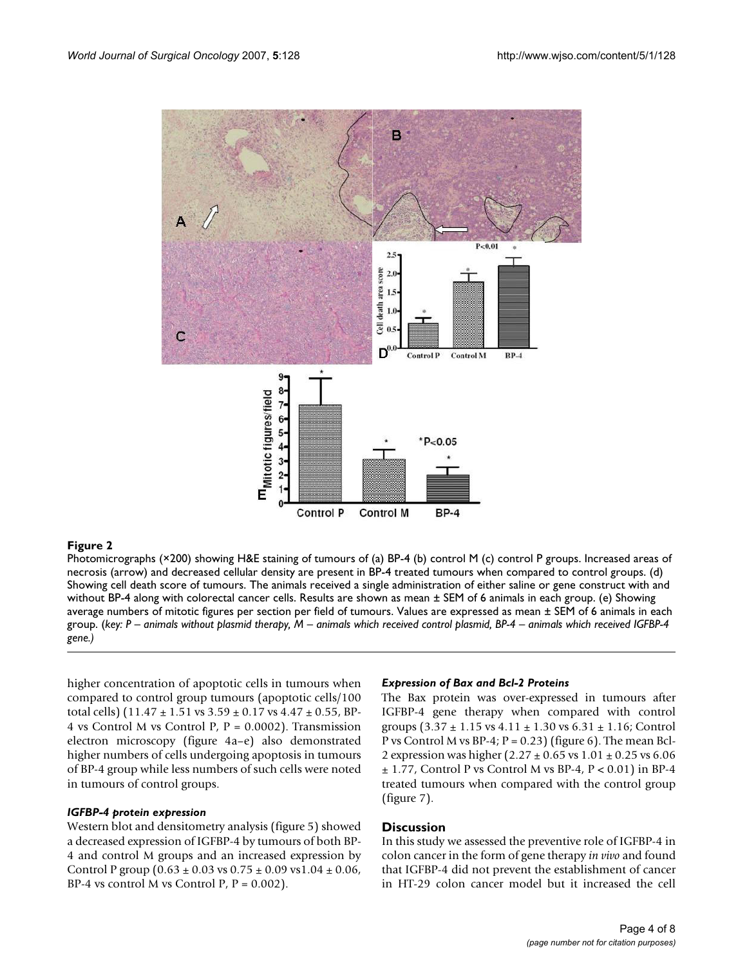

Photomicrographs (×200) showing H&E staining of tumours of (a) BP-4 (b) control M (c) control P groups. Increased areas of necrosis (arrow) and decreased cellular density are present in BP-4 treated tumours when compared to control groups. (d) Showing cell death score of tumours. The animals received a single administration of either saline or gene construct with and without BP-4 along with colorectal cancer cells. Results are shown as mean ± SEM of 6 animals in each group. (e) Showing average numbers of mitotic figures per section per field of tumours. Values are expressed as mean ± SEM of 6 animals in each group. (*key: P – animals without plasmid therapy, M – animals which received control plasmid, BP-4 – animals which received IGFBP-4 gene.)*

higher concentration of apoptotic cells in tumours when compared to control group tumours (apoptotic cells/100 total cells)  $(11.47 \pm 1.51 \text{ vs } 3.59 \pm 0.17 \text{ vs } 4.47 \pm 0.55 \text{ , BP-}$ 4 vs Control M vs Control P,  $P = 0.0002$ ). Transmission electron microscopy (figure 4a–e) also demonstrated higher numbers of cells undergoing apoptosis in tumours of BP-4 group while less numbers of such cells were noted in tumours of control groups.

#### *IGFBP-4 protein expression*

Western blot and densitometry analysis (figure 5) showed a decreased expression of IGFBP-4 by tumours of both BP-4 and control M groups and an increased expression by Control P group  $(0.63 \pm 0.03 \text{ vs } 0.75 \pm 0.09 \text{ vs } 1.04 \pm 0.06)$ BP-4 vs control M vs Control P,  $P = 0.002$ .

#### *Expression of Bax and Bcl-2 Proteins*

The Bax protein was over-expressed in tumours after IGFBP-4 gene therapy when compared with control groups  $(3.37 \pm 1.15 \text{ vs } 4.11 \pm 1.30 \text{ vs } 6.31 \pm 1.16$ ; Control P vs Control M vs BP-4;  $P = 0.23$ ) (figure 6). The mean Bcl-2 expression was higher (2.27 ± 0.65 vs 1.01 ± 0.25 vs 6.06  $\pm$  1.77, Control P vs Control M vs BP-4, P < 0.01) in BP-4 treated tumours when compared with the control group (figure 7).

#### **Discussion**

In this study we assessed the preventive role of IGFBP-4 in colon cancer in the form of gene therapy *in vivo* and found that IGFBP-4 did not prevent the establishment of cancer in HT-29 colon cancer model but it increased the cell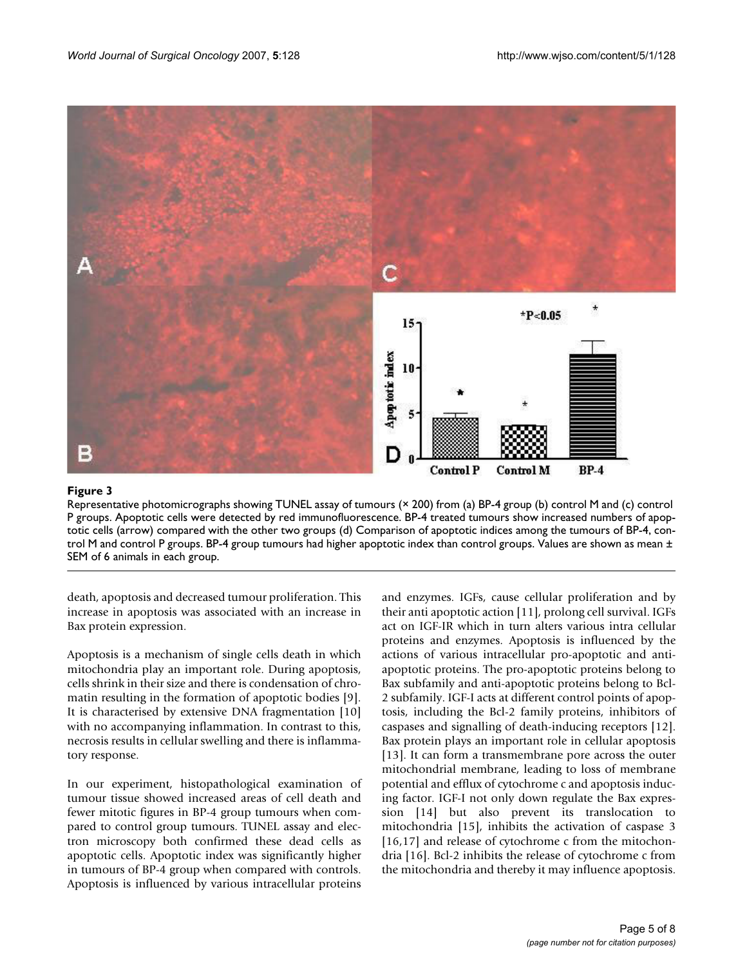

### Representative photomicrographs showing TUNEL assay of tumour P groups **Figure 3** s (× 200) from (a) BP-4 group (b) control M and (c) control

Representative photomicrographs showing TUNEL assay of tumours (× 200) from (a) BP-4 group (b) control M and (c) control P groups. Apoptotic cells were detected by red immunofluorescence. BP-4 treated tumours show increased numbers of apoptotic cells (arrow) compared with the other two groups (d) Comparison of apoptotic indices among the tumours of BP-4, control M and control P groups. BP-4 group tumours had higher apoptotic index than control groups. Values are shown as mean  $\pm$ SEM of 6 animals in each group.

death, apoptosis and decreased tumour proliferation. This increase in apoptosis was associated with an increase in Bax protein expression.

Apoptosis is a mechanism of single cells death in which mitochondria play an important role. During apoptosis, cells shrink in their size and there is condensation of chromatin resulting in the formation of apoptotic bodies [9]. It is characterised by extensive DNA fragmentation [10] with no accompanying inflammation. In contrast to this, necrosis results in cellular swelling and there is inflammatory response.

In our experiment, histopathological examination of tumour tissue showed increased areas of cell death and fewer mitotic figures in BP-4 group tumours when compared to control group tumours. TUNEL assay and electron microscopy both confirmed these dead cells as apoptotic cells. Apoptotic index was significantly higher in tumours of BP-4 group when compared with controls. Apoptosis is influenced by various intracellular proteins and enzymes. IGFs, cause cellular proliferation and by their anti apoptotic action [11], prolong cell survival. IGFs act on IGF-IR which in turn alters various intra cellular proteins and enzymes. Apoptosis is influenced by the actions of various intracellular pro-apoptotic and antiapoptotic proteins. The pro-apoptotic proteins belong to Bax subfamily and anti-apoptotic proteins belong to Bcl-2 subfamily. IGF-I acts at different control points of apoptosis, including the Bcl-2 family proteins, inhibitors of caspases and signalling of death-inducing receptors [12]. Bax protein plays an important role in cellular apoptosis [13]. It can form a transmembrane pore across the outer mitochondrial membrane, leading to loss of membrane potential and efflux of cytochrome c and apoptosis inducing factor. IGF-I not only down regulate the Bax expression [14] but also prevent its translocation to mitochondria [15], inhibits the activation of caspase 3 [16,17] and release of cytochrome c from the mitochondria [16]. Bcl-2 inhibits the release of cytochrome c from the mitochondria and thereby it may influence apoptosis.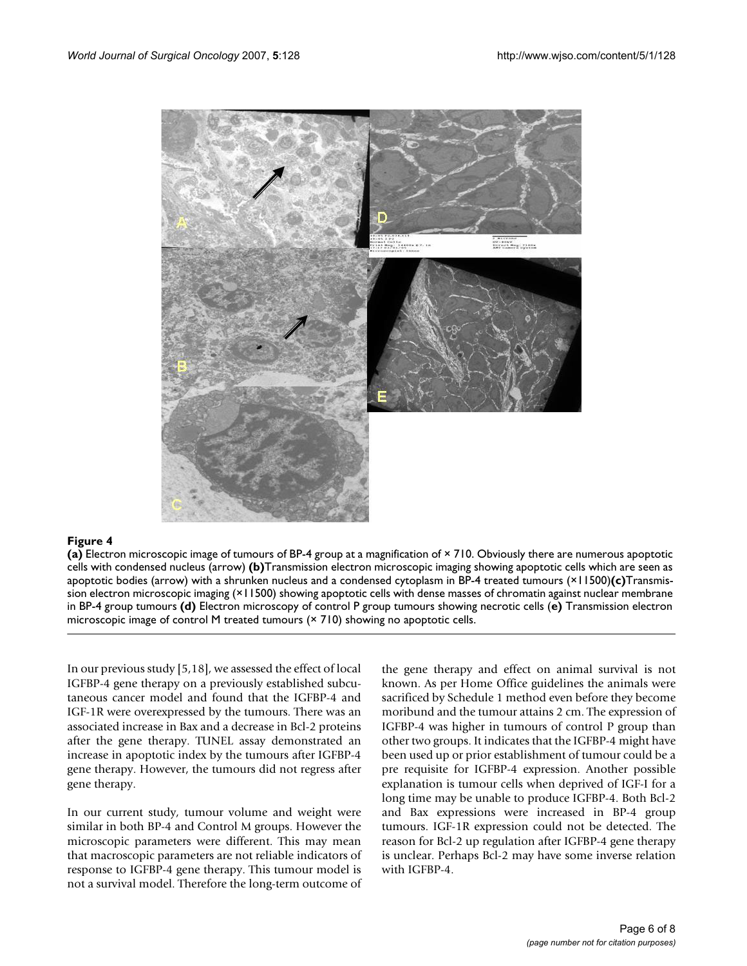

**(a)** Electron microscopic image of tumours of BP-4 group at a magnification of × 710. Obviously there are numerous apoptotic cells with condensed nucleus (arrow) **(b)**Transmission electron microscopic imaging showing apoptotic cells which are seen as apoptotic bodies (arrow) with a shrunken nucleus and a condensed cytoplasm in BP-4 treated tumours (×11500)**(c)**Transmission electron microscopic imaging (×11500) showing apoptotic cells with dense masses of chromatin against nuclear membrane in BP-4 group tumours **(d)** Electron microscopy of control P group tumours showing necrotic cells (**e)** Transmission electron microscopic image of control M treated tumours (× 710) showing no apoptotic cells.

In our previous study [5,18], we assessed the effect of local IGFBP-4 gene therapy on a previously established subcutaneous cancer model and found that the IGFBP-4 and IGF-1R were overexpressed by the tumours. There was an associated increase in Bax and a decrease in Bcl-2 proteins after the gene therapy. TUNEL assay demonstrated an increase in apoptotic index by the tumours after IGFBP-4 gene therapy. However, the tumours did not regress after gene therapy.

In our current study, tumour volume and weight were similar in both BP-4 and Control M groups. However the microscopic parameters were different. This may mean that macroscopic parameters are not reliable indicators of response to IGFBP-4 gene therapy. This tumour model is not a survival model. Therefore the long-term outcome of the gene therapy and effect on animal survival is not known. As per Home Office guidelines the animals were sacrificed by Schedule 1 method even before they become moribund and the tumour attains 2 cm. The expression of IGFBP-4 was higher in tumours of control P group than other two groups. It indicates that the IGFBP-4 might have been used up or prior establishment of tumour could be a pre requisite for IGFBP-4 expression. Another possible explanation is tumour cells when deprived of IGF-I for a long time may be unable to produce IGFBP-4. Both Bcl-2 and Bax expressions were increased in BP-4 group tumours. IGF-1R expression could not be detected. The reason for Bcl-2 up regulation after IGFBP-4 gene therapy is unclear. Perhaps Bcl-2 may have some inverse relation with IGFBP-4.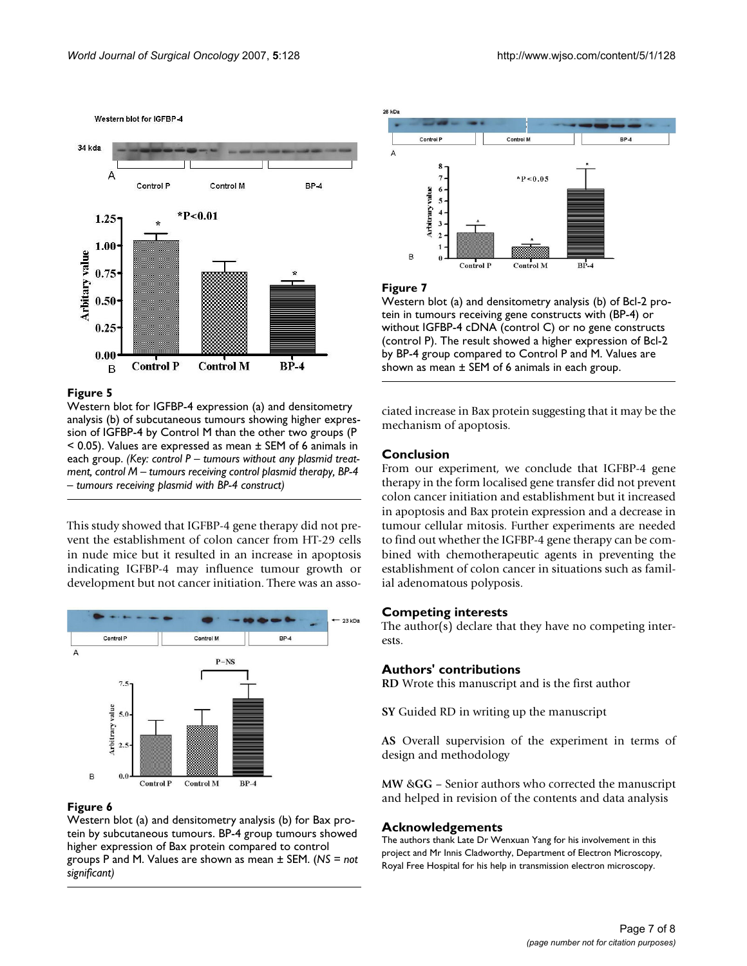Western blot for IGFBP-4



#### Figure 5

Western blot for IGFBP-4 expression (a) and densitometry analysis (b) of subcutaneous tumours showing higher expression of IGFBP-4 by Control M than the other two groups (P  $<$  0.05). Values are expressed as mean  $\pm$  SEM of 6 animals in each group. *(Key: control P – tumours without any plasmid treatment, control M – tumours receiving control plasmid therapy, BP-4 – tumours receiving plasmid with BP-4 construct)*

This study showed that IGFBP-4 gene therapy did not prevent the establishment of colon cancer from HT-29 cells in nude mice but it resulted in an increase in apoptosis indicating IGFBP-4 may influence tumour growth or development but not cancer initiation. There was an asso-



#### Figure 6

Western blot (a) and densitometry analysis (b) for Bax protein by subcutaneous tumours. BP-4 group tumours showed higher expression of Bax protein compared to control groups P and M. Values are shown as mean ± SEM. (*NS = not significant)*



#### Figure 7

Western blot (a) and densitometry analysis (b) of Bcl-2 protein in tumours receiving gene constructs with (BP-4) or without IGFBP-4 cDNA (control C) or no gene constructs (control P). The result showed a higher expression of Bcl-2 by BP-4 group compared to Control P and M. Values are shown as mean  $\pm$  SEM of 6 animals in each group.

ciated increase in Bax protein suggesting that it may be the mechanism of apoptosis.

#### **Conclusion**

From our experiment, we conclude that IGFBP-4 gene therapy in the form localised gene transfer did not prevent colon cancer initiation and establishment but it increased in apoptosis and Bax protein expression and a decrease in tumour cellular mitosis. Further experiments are needed to find out whether the IGFBP-4 gene therapy can be combined with chemotherapeutic agents in preventing the establishment of colon cancer in situations such as familial adenomatous polyposis.

#### **Competing interests**

The author(s) declare that they have no competing interests.

#### **Authors' contributions**

**RD** Wrote this manuscript and is the first author

**SY** Guided RD in writing up the manuscript

**AS** Overall supervision of the experiment in terms of design and methodology

**MW** &**GG** – Senior authors who corrected the manuscript and helped in revision of the contents and data analysis

#### **Acknowledgements**

The authors thank Late Dr Wenxuan Yang for his involvement in this project and Mr Innis Cladworthy, Department of Electron Microscopy, Royal Free Hospital for his help in transmission electron microscopy.